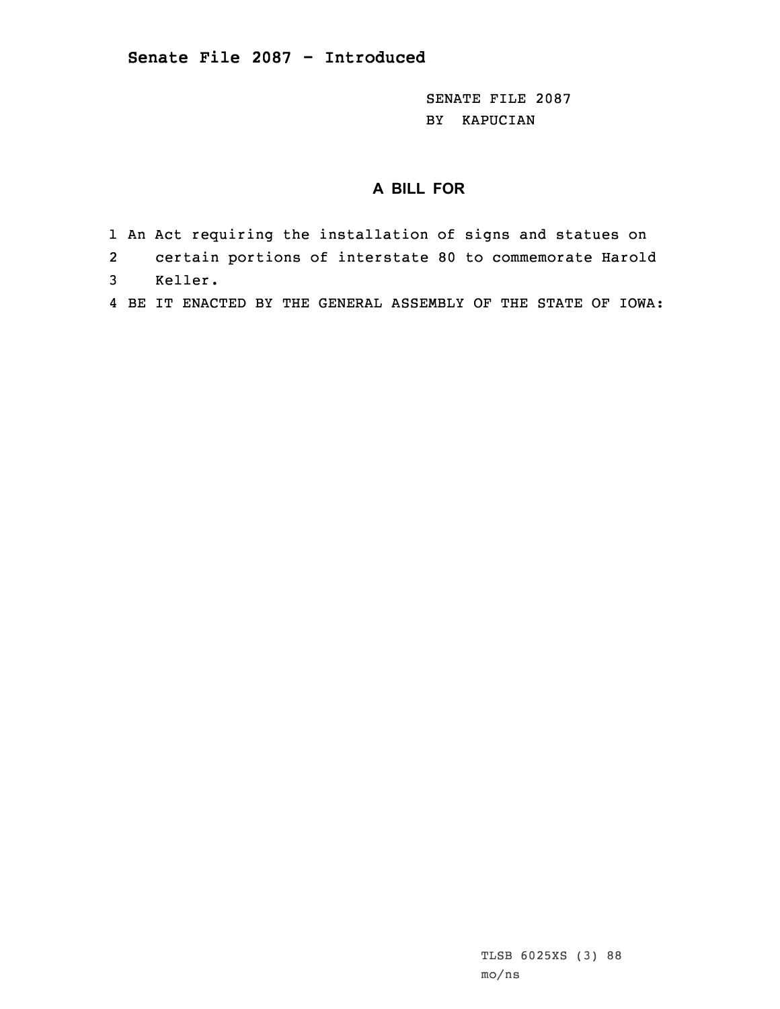SENATE FILE 2087 BY KAPUCIAN

## **A BILL FOR**

- 1 An Act requiring the installation of signs and statues on
- 2certain portions of interstate 80 to commemorate Harold
- 3 Keller.
- 4 BE IT ENACTED BY THE GENERAL ASSEMBLY OF THE STATE OF IOWA: